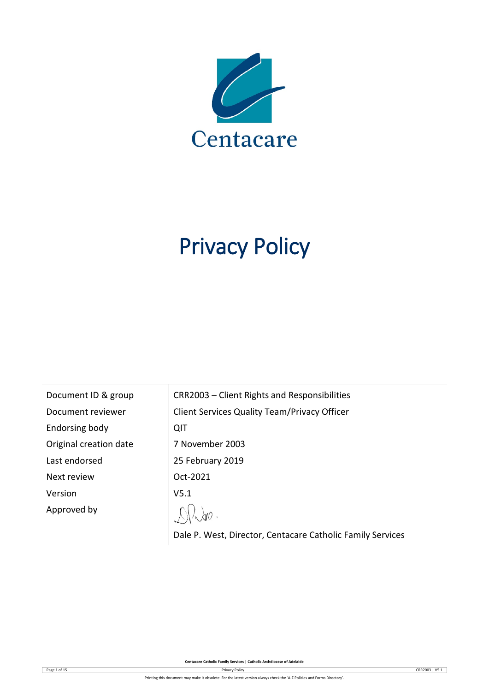

# Privacy Policy

| Document ID & group    | CRR2003 - Client Rights and Responsibilities        |
|------------------------|-----------------------------------------------------|
| Document reviewer      | <b>Client Services Quality Team/Privacy Officer</b> |
| Endorsing body         | QIT                                                 |
| Original creation date | 7 November 2003                                     |
| Last endorsed          | 25 February 2019                                    |
| Next review            | Oct-2021                                            |
| Version                | V <sub>5.1</sub>                                    |
| Approved by            |                                                     |
|                        |                                                     |

Dale P. West, Director, Centacare Catholic Family Services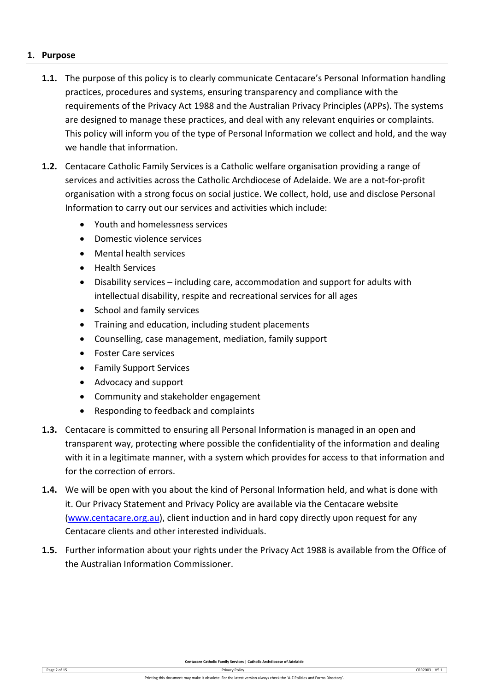## **1. Purpose**

- **1.1.** The purpose of this policy is to clearly communicate Centacare's Personal Information handling practices, procedures and systems, ensuring transparency and compliance with the requirements of the Privacy Act 1988 and the Australian Privacy Principles (APPs). The systems are designed to manage these practices, and deal with any relevant enquiries or complaints. This policy will inform you of the type of Personal Information we collect and hold, and the way we handle that information.
- **1.2.** Centacare Catholic Family Services is a Catholic welfare organisation providing a range of services and activities across the Catholic Archdiocese of Adelaide. We are a not-for-profit organisation with a strong focus on social justice. We collect, hold, use and disclose Personal Information to carry out our services and activities which include:
	- Youth and homelessness services
	- Domestic violence services
	- Mental health services
	- Health Services
	- Disability services including care, accommodation and support for adults with intellectual disability, respite and recreational services for all ages
	- School and family services
	- Training and education, including student placements
	- Counselling, case management, mediation, family support
	- Foster Care services
	- Family Support Services
	- Advocacy and support
	- Community and stakeholder engagement
	- Responding to feedback and complaints
- **1.3.** Centacare is committed to ensuring all Personal Information is managed in an open and transparent way, protecting where possible the confidentiality of the information and dealing with it in a legitimate manner, with a system which provides for access to that information and for the correction of errors.
- **1.4.** We will be open with you about the kind of Personal Information held, and what is done with it. Our Privacy Statement and Privacy Policy are available via the Centacare website [\(www.centacare.org.au\)](http://www.centacare.org.au/), client induction and in hard copy directly upon request for any Centacare clients and other interested individuals.
- **1.5.** Further information about your rights under the Privacy Act 1988 is available from the Office of the Australian Information Commissioner.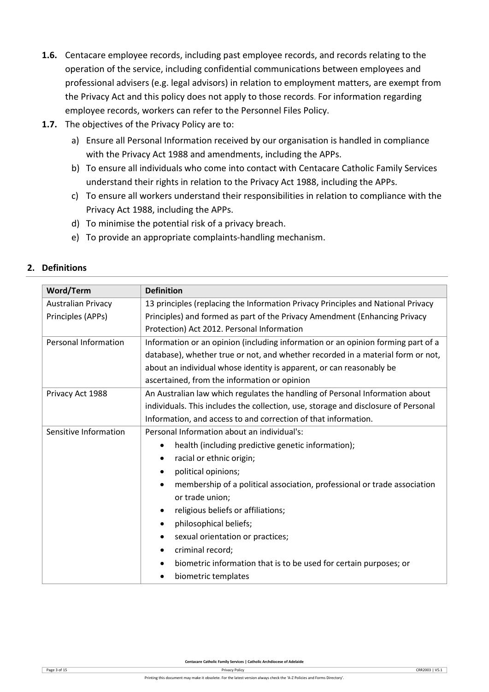- **1.6.** Centacare employee records, including past employee records, and records relating to the operation of the service, including confidential communications between employees and professional advisers (e.g. legal advisors) in relation to employment matters, are exempt from the Privacy Act and this policy does not apply to those records. For information regarding employee records, workers can refer to the Personnel Files Policy.
- **1.7.** The objectives of the Privacy Policy are to:
	- a) Ensure all Personal Information received by our organisation is handled in compliance with the Privacy Act 1988 and amendments, including the APPs.
	- b) To ensure all individuals who come into contact with Centacare Catholic Family Services understand their rights in relation to the Privacy Act 1988, including the APPs.
	- c) To ensure all workers understand their responsibilities in relation to compliance with the Privacy Act 1988, including the APPs.
	- d) To minimise the potential risk of a privacy breach.
	- e) To provide an appropriate complaints-handling mechanism.

| <b>Word/Term</b>            | <b>Definition</b>                                                                  |  |  |  |
|-----------------------------|------------------------------------------------------------------------------------|--|--|--|
| <b>Australian Privacy</b>   | 13 principles (replacing the Information Privacy Principles and National Privacy   |  |  |  |
| Principles (APPs)           | Principles) and formed as part of the Privacy Amendment (Enhancing Privacy         |  |  |  |
|                             | Protection) Act 2012. Personal Information                                         |  |  |  |
| <b>Personal Information</b> | Information or an opinion (including information or an opinion forming part of a   |  |  |  |
|                             | database), whether true or not, and whether recorded in a material form or not,    |  |  |  |
|                             | about an individual whose identity is apparent, or can reasonably be               |  |  |  |
|                             | ascertained, from the information or opinion                                       |  |  |  |
| Privacy Act 1988            | An Australian law which regulates the handling of Personal Information about       |  |  |  |
|                             | individuals. This includes the collection, use, storage and disclosure of Personal |  |  |  |
|                             | Information, and access to and correction of that information.                     |  |  |  |
| Sensitive Information       | Personal Information about an individual's:                                        |  |  |  |
|                             | health (including predictive genetic information);<br>$\bullet$                    |  |  |  |
|                             | racial or ethnic origin;<br>$\bullet$                                              |  |  |  |
|                             | political opinions;<br>$\bullet$                                                   |  |  |  |
|                             | membership of a political association, professional or trade association           |  |  |  |
|                             | or trade union;                                                                    |  |  |  |
|                             | religious beliefs or affiliations;<br>$\bullet$                                    |  |  |  |
|                             | philosophical beliefs;<br>٠                                                        |  |  |  |
|                             | sexual orientation or practices;<br>$\bullet$                                      |  |  |  |
|                             | criminal record;<br>٠                                                              |  |  |  |
|                             | biometric information that is to be used for certain purposes; or<br>$\bullet$     |  |  |  |
|                             | biometric templates                                                                |  |  |  |

# **2. Definitions**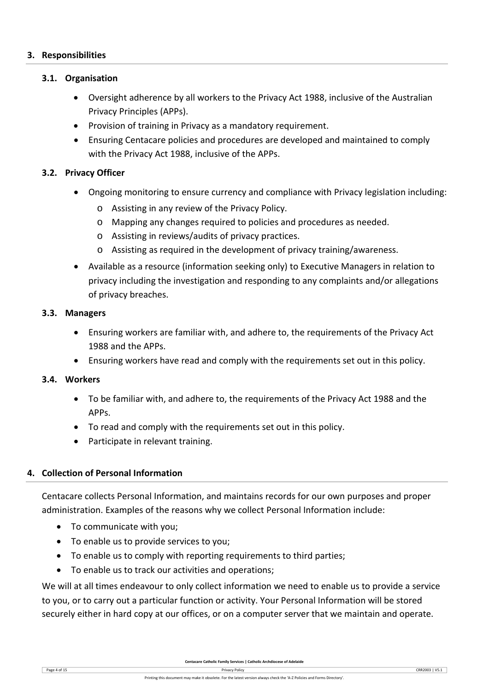## **3. Responsibilities**

## **3.1. Organisation**

- Oversight adherence by all workers to the Privacy Act 1988, inclusive of the Australian Privacy Principles (APPs).
- Provision of training in Privacy as a mandatory requirement.
- Ensuring Centacare policies and procedures are developed and maintained to comply with the Privacy Act 1988, inclusive of the APPs.

## **3.2. Privacy Officer**

- Ongoing monitoring to ensure currency and compliance with Privacy legislation including:
	- o Assisting in any review of the Privacy Policy.
	- o Mapping any changes required to policies and procedures as needed.
	- o Assisting in reviews/audits of privacy practices.
	- o Assisting as required in the development of privacy training/awareness.
- Available as a resource (information seeking only) to Executive Managers in relation to privacy including the investigation and responding to any complaints and/or allegations of privacy breaches.

#### **3.3. Managers**

- Ensuring workers are familiar with, and adhere to, the requirements of the Privacy Act 1988 and the APPs.
- Ensuring workers have read and comply with the requirements set out in this policy.

## **3.4. Workers**

- To be familiar with, and adhere to, the requirements of the Privacy Act 1988 and the APPs.
- To read and comply with the requirements set out in this policy.
- Participate in relevant training.

## **4. Collection of Personal Information**

Centacare collects Personal Information, and maintains records for our own purposes and proper administration. Examples of the reasons why we collect Personal Information include:

- To communicate with you;
- To enable us to provide services to you;
- To enable us to comply with reporting requirements to third parties;
- To enable us to track our activities and operations;

We will at all times endeavour to only collect information we need to enable us to provide a service to you, or to carry out a particular function or activity. Your Personal Information will be stored securely either in hard copy at our offices, or on a computer server that we maintain and operate.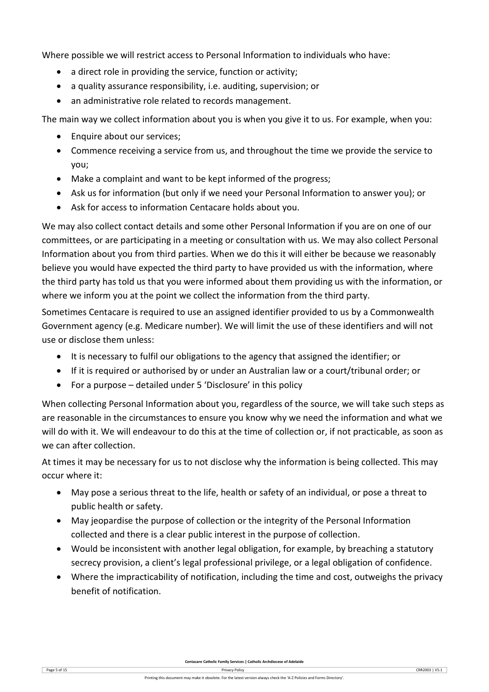Where possible we will restrict access to Personal Information to individuals who have:

- a direct role in providing the service, function or activity;
- a quality assurance responsibility, i.e. auditing, supervision; or
- an administrative role related to records management.

The main way we collect information about you is when you give it to us. For example, when you:

- Enquire about our services:
- Commence receiving a service from us, and throughout the time we provide the service to you;
- Make a complaint and want to be kept informed of the progress;
- Ask us for information (but only if we need your Personal Information to answer you); or
- Ask for access to information Centacare holds about you.

We may also collect contact details and some other Personal Information if you are on one of our committees, or are participating in a meeting or consultation with us. We may also collect Personal Information about you from third parties. When we do this it will either be because we reasonably believe you would have expected the third party to have provided us with the information, where the third party has told us that you were informed about them providing us with the information, or where we inform you at the point we collect the information from the third party.

Sometimes Centacare is required to use an assigned identifier provided to us by a Commonwealth Government agency (e.g. Medicare number). We will limit the use of these identifiers and will not use or disclose them unless:

- It is necessary to fulfil our obligations to the agency that assigned the identifier; or
- If it is required or authorised by or under an Australian law or a court/tribunal order; or
- For a purpose detailed under 5 'Disclosure' in this policy

When collecting Personal Information about you, regardless of the source, we will take such steps as are reasonable in the circumstances to ensure you know why we need the information and what we will do with it. We will endeavour to do this at the time of collection or, if not practicable, as soon as we can after collection.

At times it may be necessary for us to not disclose why the information is being collected. This may occur where it:

- May pose a serious threat to the life, health or safety of an individual, or pose a threat to public health or safety.
- May jeopardise the purpose of collection or the integrity of the Personal Information collected and there is a clear public interest in the purpose of collection.
- Would be inconsistent with another legal obligation, for example, by breaching a statutory secrecy provision, a client's legal professional privilege, or a legal obligation of confidence.
- Where the impracticability of notification, including the time and cost, outweighs the privacy benefit of notification.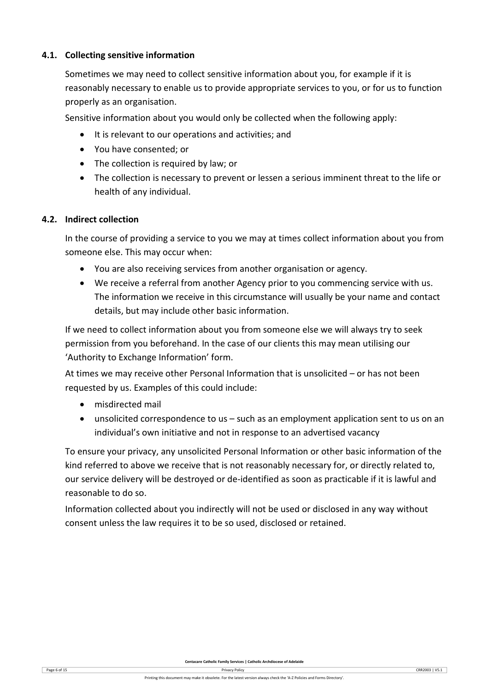# **4.1. Collecting sensitive information**

Sometimes we may need to collect sensitive information about you, for example if it is reasonably necessary to enable us to provide appropriate services to you, or for us to function properly as an organisation.

Sensitive information about you would only be collected when the following apply:

- It is relevant to our operations and activities; and
- You have consented; or
- The collection is required by law; or
- The collection is necessary to prevent or lessen a serious imminent threat to the life or health of any individual.

## **4.2. Indirect collection**

In the course of providing a service to you we may at times collect information about you from someone else. This may occur when:

- You are also receiving services from another organisation or agency.
- We receive a referral from another Agency prior to you commencing service with us. The information we receive in this circumstance will usually be your name and contact details, but may include other basic information.

If we need to collect information about you from someone else we will always try to seek permission from you beforehand. In the case of our clients this may mean utilising our 'Authority to Exchange Information' form.

At times we may receive other Personal Information that is unsolicited – or has not been requested by us. Examples of this could include:

- misdirected mail
- unsolicited correspondence to us such as an employment application sent to us on an individual's own initiative and not in response to an advertised vacancy

To ensure your privacy, any unsolicited Personal Information or other basic information of the kind referred to above we receive that is not reasonably necessary for, or directly related to, our service delivery will be destroyed or de-identified as soon as practicable if it is lawful and reasonable to do so.

Information collected about you indirectly will not be used or disclosed in any way without consent unless the law requires it to be so used, disclosed or retained.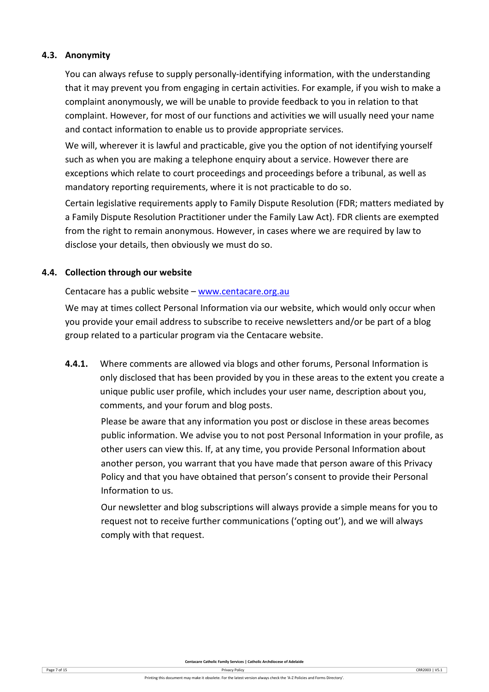# **4.3. Anonymity**

You can always refuse to supply personally-identifying information, with the understanding that it may prevent you from engaging in certain activities. For example, if you wish to make a complaint anonymously, we will be unable to provide feedback to you in relation to that complaint. However, for most of our functions and activities we will usually need your name and contact information to enable us to provide appropriate services.

We will, wherever it is lawful and practicable, give you the option of not identifying yourself such as when you are making a telephone enquiry about a service. However there are exceptions which relate to court proceedings and proceedings before a tribunal, as well as mandatory reporting requirements, where it is not practicable to do so.

Certain legislative requirements apply to Family Dispute Resolution (FDR; matters mediated by a Family Dispute Resolution Practitioner under the Family Law Act). FDR clients are exempted from the right to remain anonymous. However, in cases where we are required by law to disclose your details, then obviously we must do so.

## **4.4. Collection through our website**

Centacare has a public website – [www.centacare.org.au](http://www.centacare.org.au/)

We may at times collect Personal Information via our website, which would only occur when you provide your email address to subscribe to receive newsletters and/or be part of a blog group related to a particular program via the Centacare website.

**4.4.1.** Where comments are allowed via blogs and other forums, Personal Information is only disclosed that has been provided by you in these areas to the extent you create a unique public user profile, which includes your user name, description about you, comments, and your forum and blog posts.

Please be aware that any information you post or disclose in these areas becomes public information. We advise you to not post Personal Information in your profile, as other users can view this. If, at any time, you provide Personal Information about another person, you warrant that you have made that person aware of this Privacy Policy and that you have obtained that person's consent to provide their Personal Information to us.

Our newsletter and blog subscriptions will always provide a simple means for you to request not to receive further communications ('opting out'), and we will always comply with that request.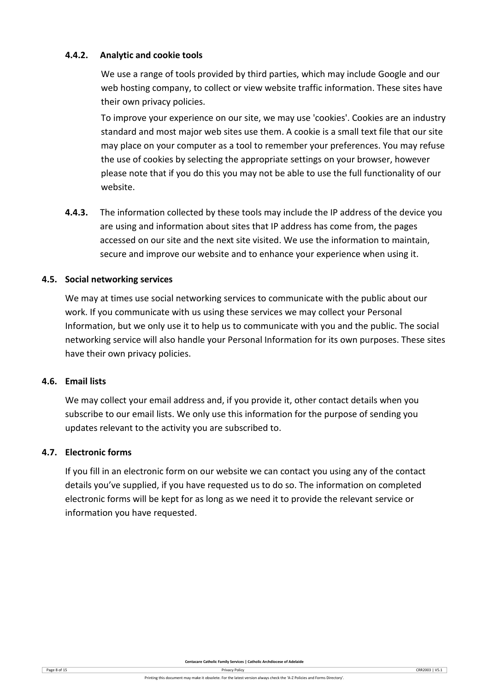# **4.4.2. Analytic and cookie tools**

We use a range of tools provided by third parties, which may include Google and our web hosting company, to collect or view website traffic information. These sites have their own privacy policies.

To improve your experience on our site, we may use 'cookies'. Cookies are an industry standard and most major web sites use them. A cookie is a small text file that our site may place on your computer as a tool to remember your preferences. You may refuse the use of cookies by selecting the appropriate settings on your browser, however please note that if you do this you may not be able to use the full functionality of our website.

**4.4.3.** The information collected by these tools may include the IP address of the device you are using and information about sites that IP address has come from, the pages accessed on our site and the next site visited. We use the information to maintain, secure and improve our website and to enhance your experience when using it.

## **4.5. Social networking services**

We may at times use social networking services to communicate with the public about our work. If you communicate with us using these services we may collect your Personal Information, but we only use it to help us to communicate with you and the public. The social networking service will also handle your Personal Information for its own purposes. These sites have their own privacy policies.

## **4.6. Email lists**

We may collect your email address and, if you provide it, other contact details when you subscribe to our email lists. We only use this information for the purpose of sending you updates relevant to the activity you are subscribed to.

## **4.7. Electronic forms**

If you fill in an electronic form on our website we can contact you using any of the contact details you've supplied, if you have requested us to do so. The information on completed electronic forms will be kept for as long as we need it to provide the relevant service or information you have requested.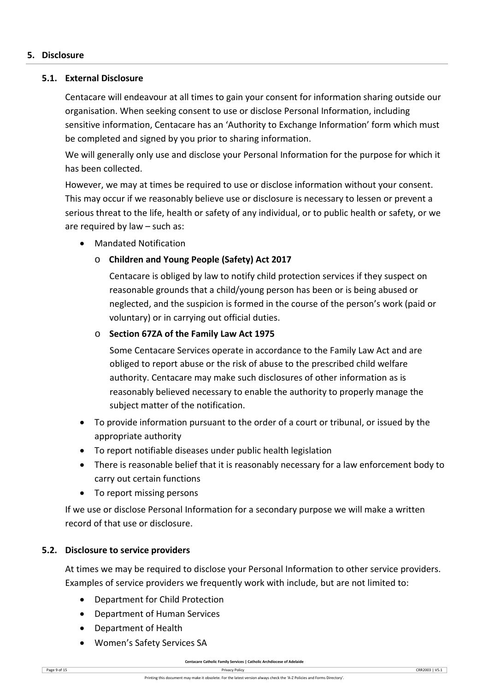## **5. Disclosure**

# **5.1. External Disclosure**

Centacare will endeavour at all times to gain your consent for information sharing outside our organisation. When seeking consent to use or disclose Personal Information, including sensitive information, Centacare has an 'Authority to Exchange Information' form which must be completed and signed by you prior to sharing information.

We will generally only use and disclose your Personal Information for the purpose for which it has been collected.

However, we may at times be required to use or disclose information without your consent. This may occur if we reasonably believe use or disclosure is necessary to lessen or prevent a serious threat to the life, health or safety of any individual, or to public health or safety, or we are required by law – such as:

• Mandated Notification

# o **Children and Young People (Safety) Act 2017**

Centacare is obliged by law to notify child protection services if they suspect on reasonable grounds that a child/young person has been or is being abused or neglected, and the suspicion is formed in the course of the person's work (paid or voluntary) or in carrying out official duties.

## o **Section 67ZA of the Family Law Act 1975**

Some Centacare Services operate in accordance to the Family Law Act and are obliged to report abuse or the risk of abuse to the prescribed child welfare authority. Centacare may make such disclosures of other information as is reasonably believed necessary to enable the authority to properly manage the subject matter of the notification.

- To provide information pursuant to the order of a court or tribunal, or issued by the appropriate authority
- To report notifiable diseases under public health legislation
- There is reasonable belief that it is reasonably necessary for a law enforcement body to carry out certain functions
- To report missing persons

If we use or disclose Personal Information for a secondary purpose we will make a written record of that use or disclosure.

# **5.2. Disclosure to service providers**

At times we may be required to disclose your Personal Information to other service providers. Examples of service providers we frequently work with include, but are not limited to:

- Department for Child Protection
- Department of Human Services
- Department of Health
- Women's Safety Services SA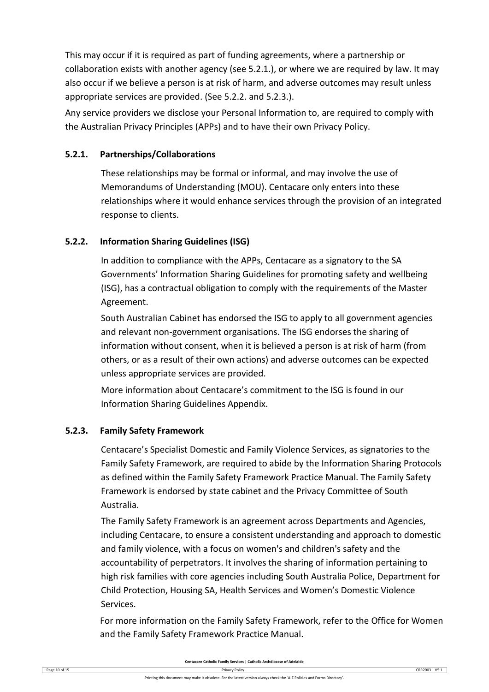This may occur if it is required as part of funding agreements, where a partnership or collaboration exists with another agency (see 5.2.1.), or where we are required by law. It may also occur if we believe a person is at risk of harm, and adverse outcomes may result unless appropriate services are provided. (See 5.2.2. and 5.2.3.).

Any service providers we disclose your Personal Information to, are required to comply with the Australian Privacy Principles (APPs) and to have their own Privacy Policy.

# **5.2.1. Partnerships/Collaborations**

These relationships may be formal or informal, and may involve the use of Memorandums of Understanding (MOU). Centacare only enters into these relationships where it would enhance services through the provision of an integrated response to clients.

## **5.2.2. Information Sharing Guidelines (ISG)**

In addition to compliance with the APPs, Centacare as a signatory to the SA Governments' Information Sharing Guidelines for promoting safety and wellbeing (ISG), has a contractual obligation to comply with the requirements of the Master Agreement.

South Australian Cabinet has endorsed the ISG to apply to all government agencies and relevant non-government organisations. The ISG endorses the sharing of information without consent, when it is believed a person is at risk of harm (from others, or as a result of their own actions) and adverse outcomes can be expected unless appropriate services are provided.

More information about Centacare's commitment to the ISG is found in our Information Sharing Guidelines Appendix.

## **5.2.3. Family Safety Framework**

Centacare's Specialist Domestic and Family Violence Services, as signatories to the Family Safety Framework, are required to abide by the Information Sharing Protocols as defined within the Family Safety Framework Practice Manual. The Family Safety Framework is endorsed by state cabinet and the Privacy Committee of South Australia.

The Family Safety Framework is an agreement across Departments and Agencies, including Centacare, to ensure a consistent understanding and approach to domestic and family violence, with a focus on women's and children's safety and the accountability of perpetrators. It involves the sharing of information pertaining to high risk families with core agencies including South Australia Police, Department for Child Protection, Housing SA, Health Services and Women's Domestic Violence Services.

For more information on the Family Safety Framework, refer to the Office for Women and the Family Safety Framework Practice Manual.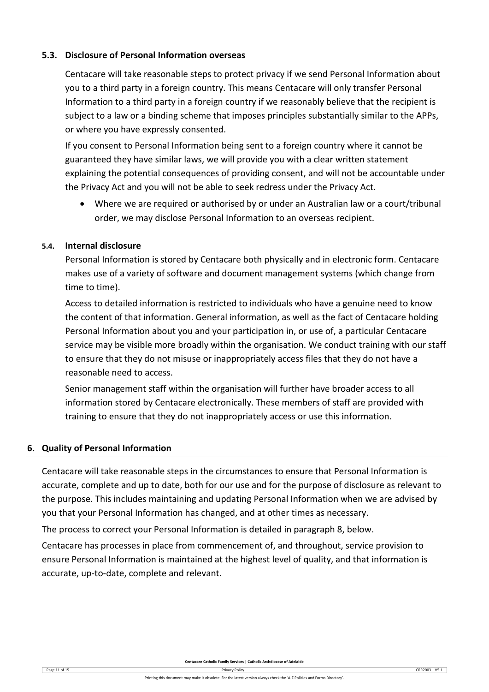# **5.3. Disclosure of Personal Information overseas**

Centacare will take reasonable steps to protect privacy if we send Personal Information about you to a third party in a foreign country. This means Centacare will only transfer Personal Information to a third party in a foreign country if we reasonably believe that the recipient is subject to a law or a binding scheme that imposes principles substantially similar to the APPs, or where you have expressly consented.

If you consent to Personal Information being sent to a foreign country where it cannot be guaranteed they have similar laws, we will provide you with a clear written statement explaining the potential consequences of providing consent, and will not be accountable under the Privacy Act and you will not be able to seek redress under the Privacy Act.

• Where we are required or authorised by or under an Australian law or a court/tribunal order, we may disclose Personal Information to an overseas recipient.

## **5.4. Internal disclosure**

Personal Information is stored by Centacare both physically and in electronic form. Centacare makes use of a variety of software and document management systems (which change from time to time).

Access to detailed information is restricted to individuals who have a genuine need to know the content of that information. General information, as well as the fact of Centacare holding Personal Information about you and your participation in, or use of, a particular Centacare service may be visible more broadly within the organisation. We conduct training with our staff to ensure that they do not misuse or inappropriately access files that they do not have a reasonable need to access.

Senior management staff within the organisation will further have broader access to all information stored by Centacare electronically. These members of staff are provided with training to ensure that they do not inappropriately access or use this information.

## **6. Quality of Personal Information**

Centacare will take reasonable steps in the circumstances to ensure that Personal Information is accurate, complete and up to date, both for our use and for the purpose of disclosure as relevant to the purpose. This includes maintaining and updating Personal Information when we are advised by you that your Personal Information has changed, and at other times as necessary.

The process to correct your Personal Information is detailed in paragraph 8, below.

Centacare has processes in place from commencement of, and throughout, service provision to ensure Personal Information is maintained at the highest level of quality, and that information is accurate, up-to-date, complete and relevant.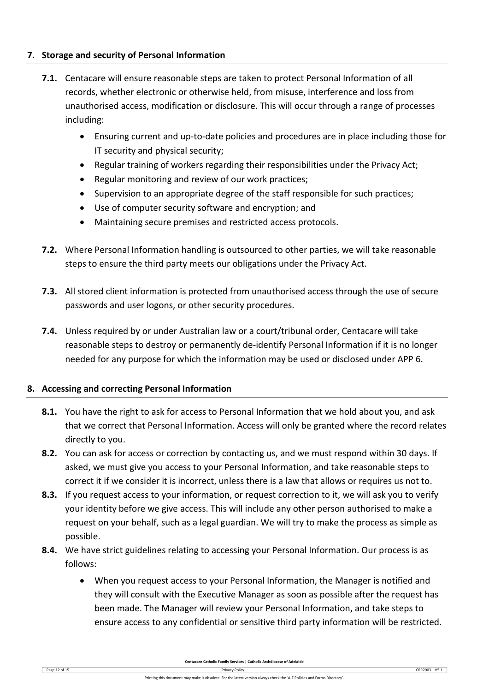# **7. Storage and security of Personal Information**

- **7.1.** Centacare will ensure reasonable steps are taken to protect Personal Information of all records, whether electronic or otherwise held, from misuse, interference and loss from unauthorised access, modification or disclosure. This will occur through a range of processes including:
	- Ensuring current and up-to-date policies and procedures are in place including those for IT security and physical security;
	- Regular training of workers regarding their responsibilities under the Privacy Act;
	- Regular monitoring and review of our work practices;
	- Supervision to an appropriate degree of the staff responsible for such practices;
	- Use of computer security software and encryption; and
	- Maintaining secure premises and restricted access protocols.
- **7.2.** Where Personal Information handling is outsourced to other parties, we will take reasonable steps to ensure the third party meets our obligations under the Privacy Act.
- **7.3.** All stored client information is protected from unauthorised access through the use of secure passwords and user logons, or other security procedures.
- **7.4.** Unless required by or under Australian law or a court/tribunal order, Centacare will take reasonable steps to destroy or permanently de-identify Personal Information if it is no longer needed for any purpose for which the information may be used or disclosed under APP 6.

# **8. Accessing and correcting Personal Information**

- **8.1.** You have the right to ask for access to Personal Information that we hold about you, and ask that we correct that Personal Information. Access will only be granted where the record relates directly to you.
- **8.2.** You can ask for access or correction by contacting us, and we must respond within 30 days. If asked, we must give you access to your Personal Information, and take reasonable steps to correct it if we consider it is incorrect, unless there is a law that allows or requires us not to.
- **8.3.** If you request access to your information, or request correction to it, we will ask you to verify your identity before we give access. This will include any other person authorised to make a request on your behalf, such as a legal guardian. We will try to make the process as simple as possible.
- **8.4.** We have strict guidelines relating to accessing your Personal Information. Our process is as follows:
	- When you request access to your Personal Information, the Manager is notified and they will consult with the Executive Manager as soon as possible after the request has been made. The Manager will review your Personal Information, and take steps to ensure access to any confidential or sensitive third party information will be restricted.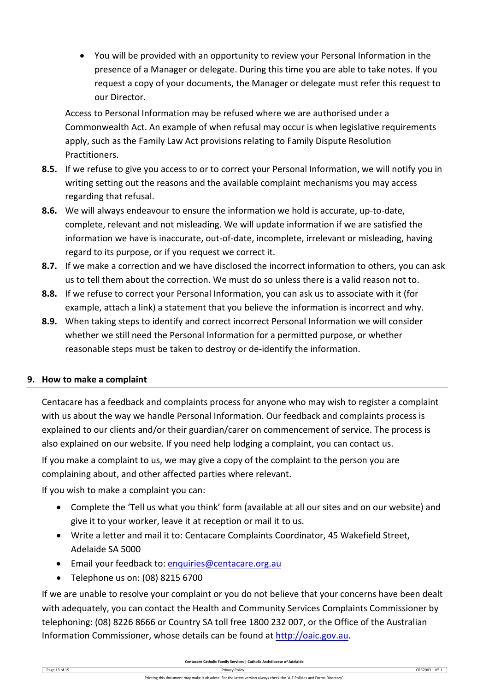• You will be provided with an opportunity to review your Personal Information in the presence of a Manager or delegate. During this time you are able to take notes. If you request a copy of your documents, the Manager or delegate must refer this request to our Director.

Access to Personal Information may be refused where we are authorised under a Commonwealth Act. An example of when refusal may occur is when legislative requirements apply, such as the Family Law Act provisions relating to Family Dispute Resolution Practitioners.

- **8.5.** If we refuse to give you access to or to correct your Personal Information, we will notify you in writing setting out the reasons and the available complaint mechanisms you may access regarding that refusal.
- **8.6.** We will always endeavour to ensure the information we hold is accurate, up-to-date, complete, relevant and not misleading. We will update information if we are satisfied the information we have is inaccurate, out-of-date, incomplete, irrelevant or misleading, having regard to its purpose, or if you request we correct it.
- **8.7.** If we make a correction and we have disclosed the incorrect information to others, you can ask us to tell them about the correction. We must do so unless there is a valid reason not to.
- **8.8.** If we refuse to correct your Personal Information, you can ask us to associate with it (for example, attach a link) a statement that you believe the information is incorrect and why.
- **8.9.** When taking steps to identify and correct incorrect Personal Information we will consider whether we still need the Personal Information for a permitted purpose, or whether reasonable steps must be taken to destroy or de-identify the information.

# **9. How to make a complaint**

Centacare has a feedback and complaints process for anyone who may wish to register a complaint with us about the way we handle Personal Information. Our feedback and complaints process is explained to our clients and/or their guardian/carer on commencement of service. The process is also explained on our website. If you need help lodging a complaint, you can contact us.

If you make a complaint to us, we may give a copy of the complaint to the person you are complaining about, and other affected parties where relevant.

If you wish to make a complaint you can:

- Complete the 'Tell us what you think' form (available at all our sites and on our website) and give it to your worker, leave it at reception or mail it to us.
- Write a letter and mail it to: Centacare Complaints Coordinator, 45 Wakefield Street, Adelaide SA 5000
- Email your feedback to: [enquiries@centacare.org.au](mailto:enquiries@centacare.org.au)
- Telephone us on: (08) 8215 6700

If we are unable to resolve your complaint or you do not believe that your concerns have been dealt with adequately, you can contact the Health and Community Services Complaints Commissioner by telephoning: (08) 8226 8666 or Country SA toll free 1800 232 007, or the Office of the Australian Information Commissioner, whose details can be found at [http://oaic.gov.au.](http://oaic.gov.au/)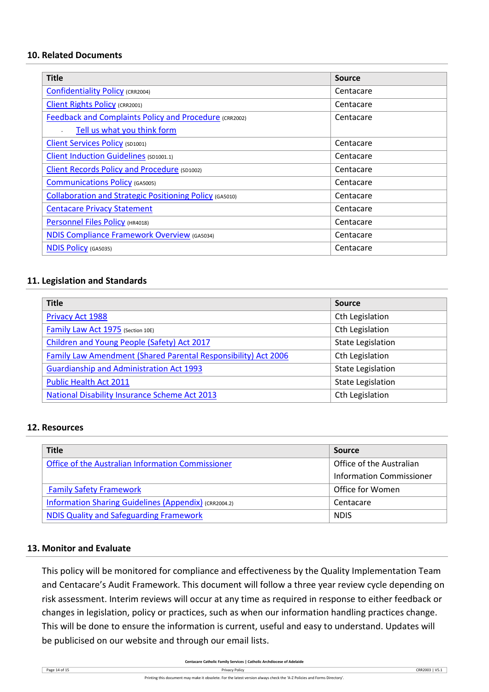## **10. Related Documents**

| <b>Title</b>                                                   | <b>Source</b> |
|----------------------------------------------------------------|---------------|
| <b>Confidentiality Policy (CRR2004)</b>                        | Centacare     |
| <b>Client Rights Policy (CRR2001)</b>                          | Centacare     |
| <b>Feedback and Complaints Policy and Procedure (CRR2002)</b>  | Centacare     |
| Tell us what you think form                                    |               |
| <b>Client Services Policy (SD1001)</b>                         | Centacare     |
| Client Induction Guidelines (SD1001.1)                         | Centacare     |
| <b>Client Records Policy and Procedure (SD1002)</b>            | Centacare     |
| <b>Communications Policy (GA5005)</b>                          | Centacare     |
| <b>Collaboration and Strategic Positioning Policy (GA5010)</b> | Centacare     |
| <b>Centacare Privacy Statement</b>                             | Centacare     |
| Personnel Files Policy (HR4018)                                | Centacare     |
| <b>NDIS Compliance Framework Overview (GA5034)</b>             | Centacare     |
| <b>NDIS Policy (GA5035)</b>                                    | Centacare     |

## **11. Legislation and Standards**

| <b>Title</b>                                                          | <b>Source</b>            |  |
|-----------------------------------------------------------------------|--------------------------|--|
| <b>Privacy Act 1988</b>                                               | Cth Legislation          |  |
| Family Law Act 1975 (Section 10E)                                     | Cth Legislation          |  |
| Children and Young People (Safety) Act 2017                           | <b>State Legislation</b> |  |
| <b>Family Law Amendment (Shared Parental Responsibility) Act 2006</b> | Cth Legislation          |  |
| <b>Guardianship and Administration Act 1993</b>                       | <b>State Legislation</b> |  |
| <b>Public Health Act 2011</b>                                         | <b>State Legislation</b> |  |
| <b>National Disability Insurance Scheme Act 2013</b>                  | Cth Legislation          |  |

## **12. Resources**

| <b>Title</b>                                          | <b>Source</b>                   |  |
|-------------------------------------------------------|---------------------------------|--|
| Office of the Australian Information Commissioner     | Office of the Australian        |  |
|                                                       | <b>Information Commissioner</b> |  |
| <b>Family Safety Framework</b>                        | Office for Women                |  |
| Information Sharing Guidelines (Appendix) (CRR2004.2) | Centacare                       |  |
| <b>NDIS Quality and Safeguarding Framework</b>        | <b>NDIS</b>                     |  |

## **13. Monitor and Evaluate**

This policy will be monitored for compliance and effectiveness by the Quality Implementation Team and Centacare's Audit Framework. This document will follow a three year review cycle depending on risk assessment. Interim reviews will occur at any time as required in response to either feedback or changes in legislation, policy or practices, such as when our information handling practices change. This will be done to ensure the information is current, useful and easy to understand. Updates will be publicised on our website and through our email lists.